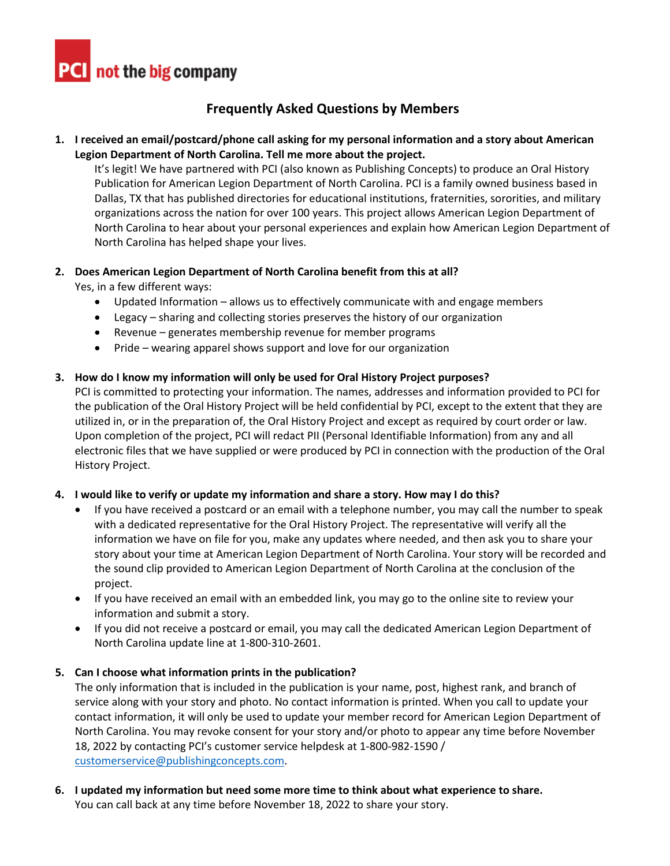

# **Frequently Asked Questions by Members**

## **1. I received an email/postcard/phone call asking for my personal information and a story about American Legion Department of North Carolina. Tell me more about the project.**

It's legit! We have partnered with PCI (also known as Publishing Concepts) to produce an Oral History Publication for American Legion Department of North Carolina. PCI is a family owned business based in Dallas, TX that has published directories for educational institutions, fraternities, sororities, and military organizations across the nation for over 100 years. This project allows American Legion Department of North Carolina to hear about your personal experiences and explain how American Legion Department of North Carolina has helped shape your lives.

## **2. Does American Legion Department of North Carolina benefit from this at all?**

Yes, in a few different ways:

- Updated Information allows us to effectively communicate with and engage members
- Legacy sharing and collecting stories preserves the history of our organization
- Revenue generates membership revenue for member programs
- Pride wearing apparel shows support and love for our organization

## **3. How do I know my information will only be used for Oral History Project purposes?**

PCI is committed to protecting your information. The names, addresses and information provided to PCI for the publication of the Oral History Project will be held confidential by PCI, except to the extent that they are utilized in, or in the preparation of, the Oral History Project and except as required by court order or law. Upon completion of the project, PCI will redact PII (Personal Identifiable Information) from any and all electronic files that we have supplied or were produced by PCI in connection with the production of the Oral History Project.

#### **4. I would like to verify or update my information and share a story. How may I do this?**

- If you have received a postcard or an email with a telephone number, you may call the number to speak with a dedicated representative for the Oral History Project. The representative will verify all the information we have on file for you, make any updates where needed, and then ask you to share your story about your time at American Legion Department of North Carolina. Your story will be recorded and the sound clip provided to American Legion Department of North Carolina at the conclusion of the project.
- If you have received an email with an embedded link, you may go to the online site to review your information and submit a story.
- If you did not receive a postcard or email, you may call the dedicated American Legion Department of North Carolina update line at 1-800-310-2601.

#### **5. Can I choose what information prints in the publication?**

The only information that is included in the publication is your name, post, highest rank, and branch of service along with your story and photo. No contact information is printed. When you call to update your contact information, it will only be used to update your member record for American Legion Department of North Carolina. You may revoke consent for your story and/or photo to appear any time before November 18, 2022 by contacting PCI's customer service helpdesk at 1-800-982-1590 / [customerservice@publishingconcepts.com.](mailto:customerservice@publishingconcepts.com)

**6. I updated my information but need some more time to think about what experience to share.**  You can call back at any time before November 18, 2022 to share your story.